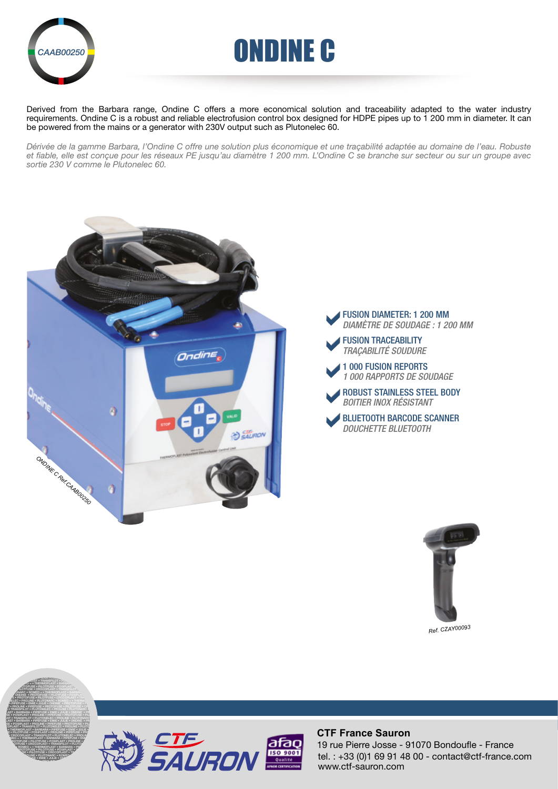



Derived from the Barbara range, Ondine C offers a more economical solution and traceability adapted to the water industry requirements. Ondine C is a robust and reliable electrofusion control box designed for HDPE pipes up to 1 200 mm in diameter. It can be powered from the mains or a generator with 230V output such as Plutonelec 60.

*Dérivée de la gamme Barbara, l'Ondine C offre une solution plus économique et une traçabilité adaptée au domaine de l'eau. Robuste et fiable, elle est conçue pour les réseaux PE jusqu'au diamètre 1 200 mm. L'Ondine C se branche sur secteur ou sur un groupe avec sortie 230 V comme le Plutonelec 60.*







*Ref. CZAY00093*







#### **CTF France Sauron**

tel. : +33 (0)1 69 91 48 00 - contact@ctf-france.com www.ctf-sauron.com 19 rue Pierre Josse - 91070 Bondoufle - France